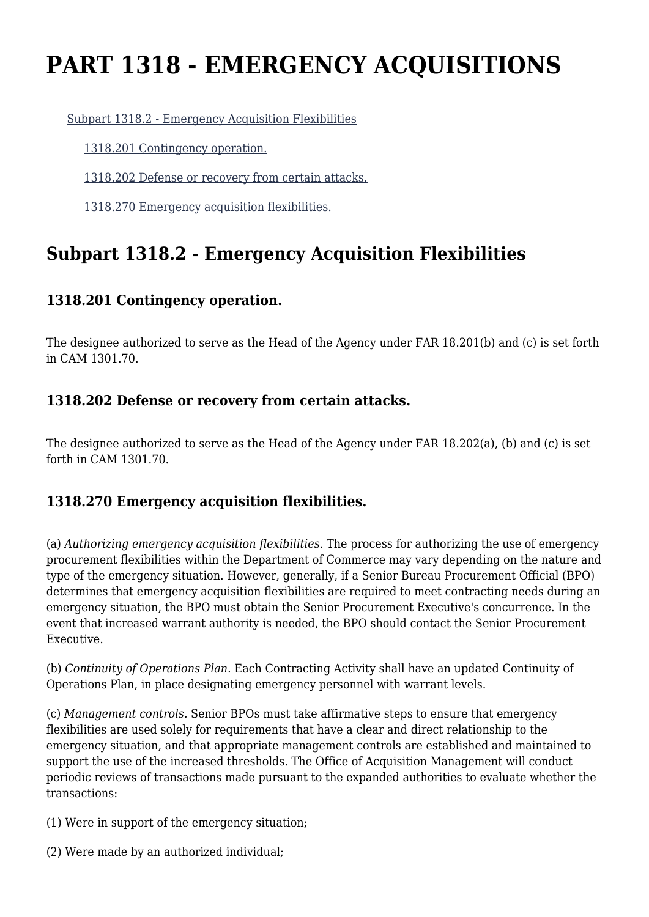# **PART 1318 - EMERGENCY ACQUISITIONS**

#### [Subpart 1318.2 - Emergency Acquisition Flexibilities](https://login.acquisition.gov/%5Brp:link:car-part-1318%5D#Subpart_1318_2_T48_50645181)

[1318.201 Contingency operation.](https://login.acquisition.gov/%5Brp:link:car-part-1318%5D#Section_1318_201_T48_5064518111)

[1318.202 Defense or recovery from certain attacks.](https://login.acquisition.gov/%5Brp:link:car-part-1318%5D#Section_1318_202_T48_5064518112)

[1318.270 Emergency acquisition flexibilities.](https://login.acquisition.gov/%5Brp:link:car-part-1318%5D#Section_1318_270_T48_5064518113)

## **Subpart 1318.2 - Emergency Acquisition Flexibilities**

### **1318.201 Contingency operation.**

The designee authorized to serve as the Head of the Agency under FAR 18.201(b) and (c) is set forth in CAM 1301.70.

#### **1318.202 Defense or recovery from certain attacks.**

The designee authorized to serve as the Head of the Agency under FAR 18.202(a), (b) and (c) is set forth in CAM 1301.70.

### **1318.270 Emergency acquisition flexibilities.**

(a) *Authorizing emergency acquisition flexibilities.* The process for authorizing the use of emergency procurement flexibilities within the Department of Commerce may vary depending on the nature and type of the emergency situation. However, generally, if a Senior Bureau Procurement Official (BPO) determines that emergency acquisition flexibilities are required to meet contracting needs during an emergency situation, the BPO must obtain the Senior Procurement Executive's concurrence. In the event that increased warrant authority is needed, the BPO should contact the Senior Procurement Executive.

(b) *Continuity of Operations Plan.* Each Contracting Activity shall have an updated Continuity of Operations Plan, in place designating emergency personnel with warrant levels.

(c) *Management controls.* Senior BPOs must take affirmative steps to ensure that emergency flexibilities are used solely for requirements that have a clear and direct relationship to the emergency situation, and that appropriate management controls are established and maintained to support the use of the increased thresholds. The Office of Acquisition Management will conduct periodic reviews of transactions made pursuant to the expanded authorities to evaluate whether the transactions:

(1) Were in support of the emergency situation;

(2) Were made by an authorized individual;